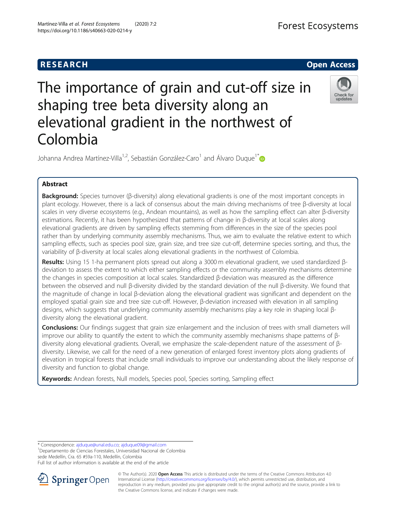

# The importance of grain and cut-off size in shaping tree beta diversity along an elevational gradient in the northwest of Colombia



Johanna Andrea Martínez-Villa<sup>1,2</sup>, Sebastián González-Caro<sup>1</sup> and Álvaro Duque<sup>1[\\*](https://orcid.org/0000-0001-5464-2058)</sup>

# Abstract

Background: Species turnover (β-diversity) along elevational gradients is one of the most important concepts in plant ecology. However, there is a lack of consensus about the main driving mechanisms of tree β-diversity at local scales in very diverse ecosystems (e.g., Andean mountains), as well as how the sampling effect can alter β-diversity estimations. Recently, it has been hypothesized that patterns of change in β-diversity at local scales along elevational gradients are driven by sampling effects stemming from differences in the size of the species pool rather than by underlying community assembly mechanisms. Thus, we aim to evaluate the relative extent to which sampling effects, such as species pool size, grain size, and tree size cut-off, determine species sorting, and thus, the variability of β-diversity at local scales along elevational gradients in the northwest of Colombia.

Results: Using 15 1-ha permanent plots spread out along a 3000 m elevational gradient, we used standardized βdeviation to assess the extent to which either sampling effects or the community assembly mechanisms determine the changes in species composition at local scales. Standardized β-deviation was measured as the difference between the observed and null β-diversity divided by the standard deviation of the null β-diversity. We found that the magnitude of change in local β-deviation along the elevational gradient was significant and dependent on the employed spatial grain size and tree size cut-off. However, β-deviation increased with elevation in all sampling designs, which suggests that underlying community assembly mechanisms play a key role in shaping local βdiversity along the elevational gradient.

**Conclusions:** Our findings suggest that grain size enlargement and the inclusion of trees with small diameters will improve our ability to quantify the extent to which the community assembly mechanisms shape patterns of βdiversity along elevational gradients. Overall, we emphasize the scale-dependent nature of the assessment of βdiversity. Likewise, we call for the need of a new generation of enlarged forest inventory plots along gradients of elevation in tropical forests that include small individuals to improve our understanding about the likely response of diversity and function to global change.

Keywords: Andean forests, Null models, Species pool, Species sorting, Sampling effect

\* Correspondence: [ajduque@unal.edu.co;](mailto:ajduque@unal.edu.co) [ajduque09@gmail.com](mailto:ajduque09@gmail.com) <sup>1</sup>

<sup>1</sup> Departamento de Ciencias Forestales, Universidad Nacional de Colombia sede Medellín, Cra. 65 #59a-110, Medellín, Colombia

Full list of author information is available at the end of the article



© The Author(s). 2020 Open Access This article is distributed under the terms of the Creative Commons Attribution 4.0 International License ([http://creativecommons.org/licenses/by/4.0/\)](http://creativecommons.org/licenses/by/4.0/), which permits unrestricted use, distribution, and reproduction in any medium, provided you give appropriate credit to the original author(s) and the source, provide a link to the Creative Commons license, and indicate if changes were made.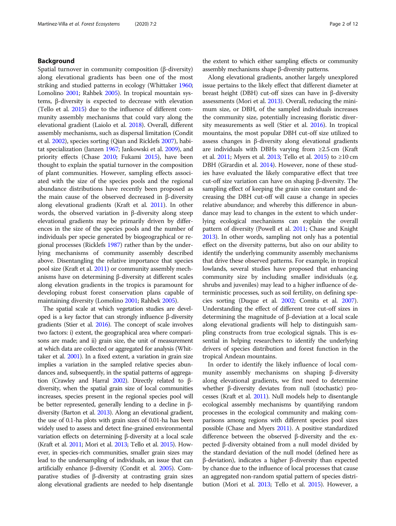# Background

Spatial turnover in community composition (β-diversity) along elevational gradients has been one of the most striking and studied patterns in ecology (Whittaker [1960](#page-11-0); Lomolino [2001;](#page-11-0) Rahbek [2005](#page-11-0)). In tropical mountain systems, β-diversity is expected to decrease with elevation (Tello et al. [2015](#page-11-0)) due to the influence of different community assembly mechanisms that could vary along the elevational gradient (Laiolo et al. [2018](#page-11-0)). Overall, different assembly mechanisms, such as dispersal limitation (Condit et al. [2002\)](#page-10-0), species sorting (Qian and Ricklefs [2007](#page-11-0)), habitat specialization (Janzen [1967](#page-11-0); Jankowski et al. [2009\)](#page-11-0), and priority effects (Chase [2010;](#page-10-0) Fukami [2015](#page-11-0)), have been thought to explain the spatial turnover in the composition of plant communities. However, sampling effects associated with the size of the species pools and the regional abundance distributions have recently been proposed as the main cause of the observed decreased in β-diversity along elevational gradients (Kraft et al. [2011\)](#page-11-0). In other words, the observed variation in β-diversity along steep elevational gradients may be primarily driven by differences in the size of the species pools and the number of individuals per specie generated by biogeographical or regional processes (Ricklefs [1987\)](#page-11-0) rather than by the underlying mechanisms of community assembly described above. Disentangling the relative importance that species pool size (Kraft et al. [2011](#page-11-0)) or community assembly mechanisms have on determining β-diversity at different scales along elevation gradients in the tropics is paramount for developing robust forest conservation plans capable of maintaining diversity (Lomolino [2001](#page-11-0); Rahbek [2005](#page-11-0)).

The spatial scale at which vegetation studies are developed is a key factor that can strongly influence β-diversity gradients (Stier et al. [2016\)](#page-11-0). The concept of scale involves two factors: i) extent, the geographical area where comparisons are made; and ii) grain size, the unit of measurement at which data are collected or aggregated for analysis (Whittaker et al. [2001](#page-11-0)). In a fixed extent, a variation in grain size implies a variation in the sampled relative species abundances and, subsequently, in the spatial patterns of aggregation (Crawley and Harral [2002\)](#page-10-0). Directly related to βdiversity, when the spatial grain size of local communities increases, species present in the regional species pool will be better represented, generally lending to a decline in βdiversity (Barton et al. [2013](#page-10-0)). Along an elevational gradient, the use of 0.1-ha plots with grain sizes of 0.01-ha has been widely used to assess and detect fine-grained environmental variation effects on determining β-diversity at a local scale (Kraft et al. [2011;](#page-11-0) Mori et al. [2013](#page-11-0); Tello et al. [2015](#page-11-0)). However, in species-rich communities, smaller grain sizes may lead to the undersampling of individuals, an issue that can artificially enhance β-diversity (Condit et al. [2005](#page-10-0)). Comparative studies of β-diversity at contrasting grain sizes along elevational gradients are needed to help disentangle

the extent to which either sampling effects or community assembly mechanisms shape β-diversity patterns.

Along elevational gradients, another largely unexplored issue pertains to the likely effect that different diameter at breast height (DBH) cut-off sizes can have in β-diversity assessments (Mori et al. [2013](#page-11-0)). Overall, reducing the minimum size, or DBH, of the sampled individuals increases the community size, potentially increasing floristic diversity measurements as well (Stier et al. [2016](#page-11-0)). In tropical mountains, the most popular DBH cut-off size utilized to assess changes in β-diversity along elevational gradients are individuals with DBHs varying from ≥2.5 cm (Kraft et al. [2011](#page-11-0); Myers et al. [2013](#page-11-0); Tello et al. [2015\)](#page-11-0) to ≥10 cm DBH (Girardin et al. [2014](#page-11-0)). However, none of these studies have evaluated the likely comparative effect that tree cut-off size variation can have on shaping β-diversity. The sampling effect of keeping the grain size constant and decreasing the DBH cut-off will cause a change in species relative abundance; and whereby this difference in abundance may lead to changes in the extent to which underlying ecological mechanisms can explain the overall pattern of diversity (Powell et al. [2011](#page-11-0); Chase and Knight [2013\)](#page-10-0). In other words, sampling not only has a potential effect on the diversity patterns, but also on our ability to identify the underlying community assembly mechanisms that drive these observed patterns. For example, in tropical lowlands, several studies have proposed that enhancing community size by including smaller individuals (e.g. shrubs and juveniles) may lead to a higher influence of deterministic processes, such as soil fertility, on defining species sorting (Duque et al. [2002;](#page-11-0) Comita et al. [2007](#page-10-0)). Understanding the effect of different tree cut-off sizes in determining the magnitude of β-deviation at a local scale along elevational gradients will help to distinguish sampling constructs from true ecological signals. This is essential in helping researchers to identify the underlying drivers of species distribution and forest function in the tropical Andean mountains.

In order to identify the likely influence of local community assembly mechanisms on shaping β-diversity along elevational gradients, we first need to determine whether β-diversity deviates from null (stochastic) processes (Kraft et al. [2011\)](#page-11-0). Null models help to disentangle ecological assembly mechanisms by quantifying random processes in the ecological community and making comparisons among regions with different species pool sizes possible (Chase and Myers [2011\)](#page-10-0). A positive standardized difference between the observed β-diversity and the expected β-diversity obtained from a null model divided by the standard deviation of the null model (defined here as β-deviation), indicates a higher β-diversity than expected by chance due to the influence of local processes that cause an aggregated non-random spatial pattern of species distribution (Mori et al. [2013;](#page-11-0) Tello et al. [2015\)](#page-11-0). However, a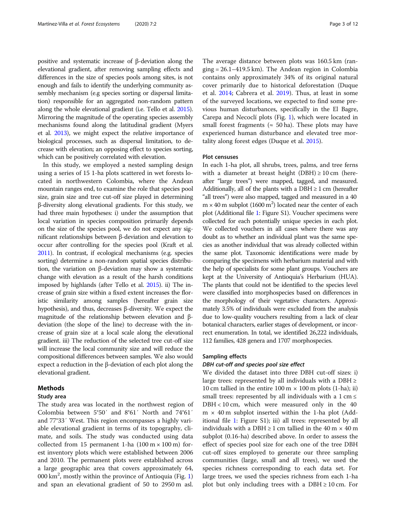positive and systematic increase of β-deviation along the elevational gradient, after removing sampling effects and differences in the size of species pools among sites, is not enough and fails to identify the underlying community assembly mechanism (e.g species sorting or dispersal limitation) responsible for an aggregated non-random pattern along the whole elevational gradient (i.e. Tello et al. [2015](#page-11-0)). Mirroring the magnitude of the operating species assembly mechanisms found along the latitudinal gradient (Myers et al. [2013\)](#page-11-0), we might expect the relative importance of biological processes, such as dispersal limitation, to decrease with elevation; an opposing effect to species sorting, which can be positively correlated with elevation.

In this study, we employed a nested sampling design using a series of 15 1-ha plots scattered in wet forests located in northwestern Colombia, where the Andean mountain ranges end, to examine the role that species pool size, grain size and tree cut-off size played in determining β-diversity along elevational gradients. For this study, we had three main hypotheses: i) under the assumption that local variation in species composition primarily depends on the size of the species pool, we do not expect any significant relationships between β-deviation and elevation to occur after controlling for the species pool (Kraft et al. [2011\)](#page-11-0). In contrast, if ecological mechanisms (e.g. species sorting) determine a non-random spatial species distribution, the variation on β-deviation may show a systematic change with elevation as a result of the harsh conditions imposed by highlands (after Tello et al. [2015](#page-11-0)). ii) The increase of grain size within a fixed extent increases the floristic similarity among samples (hereafter grain size hypothesis), and thus, decreases β-diversity. We expect the magnitude of the relationship between elevation and βdeviation (the slope of the line) to decrease with the increase of grain size at a local scale along the elevational gradient. iii) The reduction of the selected tree cut-off size will increase the local community size and will reduce the compositional differences between samples. We also would expect a reduction in the β-deviation of each plot along the elevational gradient.

# Methods

# Study area

The study area was located in the northwest region of Colombia between 5°50′ and 8°61′ North and 74°61′ and 77°33′ West. This region encompasses a highly variable elevational gradient in terms of its topography, climate, and soils. The study was conducted using data collected from 15 permanent 1-ha  $(100 \text{ m} \times 100 \text{ m})$  forest inventory plots which were established between 2006 and 2010. The permanent plots were established across a large geographic area that covers approximately 64, 000 km<sup>2</sup>, mostly within the province of Antioquia (Fig. [1](#page-3-0)) and span an elevational gradient of 50 to 2950 m asl.

The average distance between plots was 160.5 km (ranging = 26.1–419.5 km). The Andean region in Colombia contains only approximately 34% of its original natural cover primarily due to historical deforestation (Duque et al. [2014;](#page-10-0) Cabrera et al. [2019](#page-10-0)). Thus, at least in some of the surveyed locations, we expected to find some previous human disturbances, specifically in the El Bagre, Carepa and Necoclí plots (Fig. [1\)](#page-3-0), which were located in small forest fragments ( $\approx$  50 ha). These plots may have experienced human disturbance and elevated tree mortality along forest edges (Duque et al. [2015](#page-11-0)).

# Plot censuses

In each 1-ha plot, all shrubs, trees, palms, and tree ferns with a diameter at breast height (DBH)  $\geq 10$  cm (hereafter "large trees") were mapped, tagged, and measured. Additionally, all of the plants with a  $DBH \geq 1$  cm (hereafter "all trees") were also mapped, tagged and measured in a 40  $m \times 40$  m subplot (1600 m<sup>2</sup>) located near the center of each plot (Additional file [1:](#page-10-0) Figure S1). Voucher specimens were collected for each potentially unique species in each plot. We collected vouchers in all cases where there was any doubt as to whether an individual plant was the same species as another individual that was already collected within the same plot. Taxonomic identifications were made by comparing the specimens with herbarium material and with the help of specialists for some plant groups. Vouchers are kept at the University of Antioquia's Herbarium (HUA). The plants that could not be identified to the species level were classified into morphospecies based on differences in the morphology of their vegetative characters. Approximately 3.5% of individuals were excluded from the analysis due to low-quality vouchers resulting from a lack of clear botanical characters, earlier stages of development, or incorrect enumeration. In total, we identified 26,222 individuals, 112 families, 428 genera and 1707 morphospecies.

# Sampling effects

# DBH cut-off and species pool size effect

We divided the dataset into three DBH cut-off sizes: i) large trees: represented by all individuals with a DBH  $\geq$ 10 cm tallied in the entire  $100 \text{ m} \times 100 \text{ m}$  plots (1-ha); ii) small trees: represented by all individuals with a  $1 \text{ cm} \leq$ DBH < 10 cm, which were measured only in the 40  $m \times 40$  m subplot inserted within the 1-ha plot (Additional file [1:](#page-10-0) Figure S1); iii) all trees: represented by all individuals with a DBH  $\geq 1$  cm tallied in the 40 m  $\times$  40 m subplot (0.16-ha) described above. In order to assess the effect of species pool size for each one of the tree DBH cut-off sizes employed to generate our three sampling communities (large, small and all trees), we used the species richness corresponding to each data set. For large trees, we used the species richness from each 1-ha plot but only including trees with a DBH  $\geq 10$  cm. For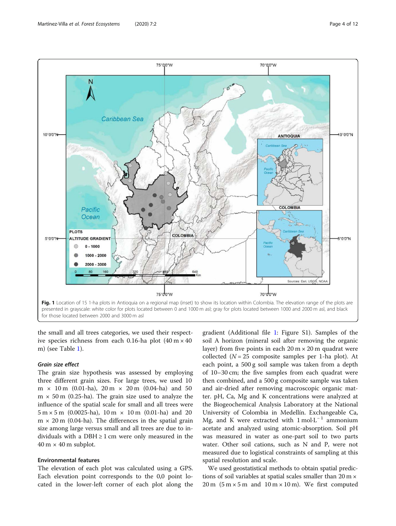<span id="page-3-0"></span>

for those located between 2000 and 3000 m asl

the small and all trees categories, we used their respective species richness from each 0.16-ha plot  $(40 \text{ m} \times 40)$ m) (see Table [1\)](#page-4-0).

# Grain size effect

The grain size hypothesis was assessed by employing three different grain sizes. For large trees, we used 10  $m \times 10$  m (0.01-ha),  $20$  m  $\times 20$  m (0.04-ha) and 50  $m \times 50$  m (0.25-ha). The grain size used to analyze the influence of the spatial scale for small and all trees were  $5 m \times 5 m$  (0.0025-ha),  $10 m \times 10 m$  (0.01-ha) and 20  $m \times 20$  m (0.04-ha). The differences in the spatial grain size among large versus small and all trees are due to individuals with a DBH  $\geq$  1 cm were only measured in the  $40 \text{ m} \times 40 \text{ m}$  subplot.

# Environmental features

The elevation of each plot was calculated using a GPS. Each elevation point corresponds to the 0,0 point located in the lower-left corner of each plot along the

gradient (Additional file [1:](#page-10-0) Figure S1). Samples of the soil A horizon (mineral soil after removing the organic layer) from five points in each  $20 \text{ m} \times 20 \text{ m}$  quadrat were collected ( $N = 25$  composite samples per 1-ha plot). At each point, a 500 g soil sample was taken from a depth of 10–30 cm; the five samples from each quadrat were then combined, and a 500 g composite sample was taken and air-dried after removing macroscopic organic matter. pH, Ca, Mg and K concentrations were analyzed at the Biogeochemical Analysis Laboratory at the National University of Colombia in Medellín. Exchangeable Ca, Mg, and K were extracted with  $1 \text{ mol} \cdot L^{-1}$  ammonium acetate and analyzed using atomic-absorption. Soil pH was measured in water as one-part soil to two parts water. Other soil cations, such as N and P, were not measured due to logistical constraints of sampling at this spatial resolution and scale.

We used geostatistical methods to obtain spatial predictions of soil variables at spatial scales smaller than  $20 \text{ m} \times$  $20 \text{ m}$  (5 m  $\times$  5 m and 10 m  $\times$  10 m). We first computed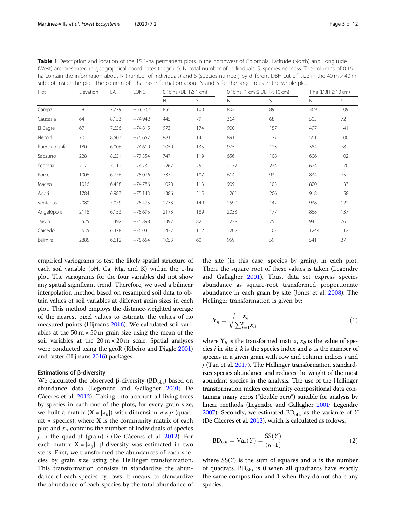| subplot inside the plot. The column of 1-ha has information about N and S for the large trees in the whole plot |           |       |             |                             |     |                                  |     |                         |     |
|-----------------------------------------------------------------------------------------------------------------|-----------|-------|-------------|-----------------------------|-----|----------------------------------|-----|-------------------------|-----|
| Plot                                                                                                            | Elevation | LAT   | <b>LONG</b> | $0.16$ ha (DBH $\geq 1$ cm) |     | 0.16 ha $(1 cm \le DBH < 10 cm)$ |     | 1 ha (DBH $\geq$ 10 cm) |     |
|                                                                                                                 |           |       |             | N                           | S   | N                                | S   | $\mathbb N$             | S   |
| Carepa                                                                                                          | 58        | 7.779 | $-76.764$   | 855                         | 100 | 802                              | 89  | 369                     | 109 |
| Caucasia                                                                                                        | 64        | 8.133 | $-74.942$   | 445                         | 79  | 364                              | 68  | 503                     | 72  |
| El Bagre                                                                                                        | 67        | 7.656 | $-74.815$   | 973                         | 174 | 900                              | 157 | 497                     | 141 |
| Necoclí                                                                                                         | 70        | 8.507 | $-76.657$   | 981                         | 141 | 891                              | 127 | 561                     | 100 |
| Puerto triunfo                                                                                                  | 180       | 6.006 | $-74.610$   | 1050                        | 135 | 975                              | 123 | 384                     | 78  |
| Sapzurro                                                                                                        | 228       | 8.651 | $-77.354$   | 747                         | 119 | 656                              | 108 | 606                     | 102 |
| Segovia                                                                                                         | 717       | 7.111 | $-74.731$   | 1267                        | 251 | 1177                             | 234 | 624                     | 170 |
| Porce                                                                                                           | 1006      | 6.776 | $-75.076$   | 737                         | 107 | 614                              | 93  | 834                     | 75  |
| Maceo                                                                                                           | 1016      | 6.458 | $-74.786$   | 1020                        | 113 | 909                              | 103 | 820                     | 133 |
| Anorí                                                                                                           | 1784      | 6.987 | $-75.143$   | 1386                        | 215 | 1261                             | 206 | 918                     | 158 |
| Ventanas                                                                                                        | 2080      | 7.079 | $-75.475$   | 1733                        | 149 | 1590                             | 142 | 938                     | 122 |
| Angelópolis                                                                                                     | 2118      | 6.153 | $-75.695$   | 2173                        | 189 | 2033                             | 177 | 868                     | 137 |
| Jardín                                                                                                          | 2525      | 5.492 | $-75.898$   | 1397                        | 82  | 1238                             | 75  | 942                     | 76  |
| Caicedo                                                                                                         | 2635      | 6.378 | $-76.031$   | 1437                        | 112 | 1202                             | 107 | 1244                    | 112 |
| Belmira                                                                                                         | 2885      | 6.612 | $-75.654$   | 1053                        | 60  | 959                              | 59  | 541                     | 37  |

<span id="page-4-0"></span>Table 1 Description and location of the 15 1-ha permanent plots in the northwest of Colombia. Latitude (North) and Longitude (West) are presented in geographical coordinates (degrees). N: total number of individuals. S: species richness. The columns of 0.16 ha contain the information about N (number of individuals) and S (species number) by different DBH cut-off size in the 40 m  $\times$  40 m

empirical variograms to test the likely spatial structure of each soil variable (pH, Ca, Mg, and K) within the 1-ha plot. The variograms for the four variables did not show any spatial significant trend. Therefore, we used a bilinear interpolation method based on resampled soil data to obtain values of soil variables at different grain sizes in each plot. This method employs the distance-weighted average of the nearest pixel values to estimate the values of no measured points (Hijmans [2016](#page-11-0)). We calculated soil variables at the  $50 \text{ m} \times 50 \text{ m}$  grain size using the mean of the soil variables at the  $20 \text{ m} \times 20 \text{ m}$  scale. Spatial analyses were conducted using the geoR (Ribeiro and Diggle [2001](#page-11-0)) and raster (Hijmans [2016](#page-11-0)) packages.

### Estimations of β-diversity

We calculated the observed β-diversity  $(BD<sub>obs</sub>)$  based on abundance data (Legendre and Gallagher [2001;](#page-11-0) De Cáceres et al. [2012](#page-10-0)). Taking into account all living trees by species in each one of the plots, for every grain size, we built a matrix  $(X = [x_{ij}])$  with dimension  $n \times p$  (quadrat  $\times$  species), where **X** is the community matrix of each plot and  $x_{ii}$  contains the number of individuals of species  $j$  in the quadrat (grain)  $i$  (De Cáceres et al. [2012](#page-10-0)). For each matrix  $X = [x_{ij}]$ , β-diversity was estimated in two steps. First, we transformed the abundances of each species by grain size using the Hellinger transformation. This transformation consists in standardize the abundance of each species by rows. It means, to standardize the abundance of each species by the total abundance of

the site (in this case, species by grain), in each plot. Then, the square root of these values is taken (Legendre and Gallagher [2001](#page-11-0)). Thus, data set express species abundance as square-root transformed proportionate abundance in each grain by site (Jones et al. [2008](#page-11-0)). The Hellinger transformation is given by:

$$
\mathbf{Y}_{ij} = \sqrt{\frac{x_{ij}}{\sum_{k=1}^{p} x_{ik}}}
$$
(1)

where  $Y_{ij}$  is the transformed matrix,  $x_{ij}$  is the value of species *j* in site *i*, *k* is the species index and  $p$  is the number of species in a given grain with row and column indices  $i$  and  $j$  (Tan et al. [2017\)](#page-11-0). The Hellinger transformation standardizes species abundance and reduces the weight of the most abundant species in the analysis. The use of the Hellinger transformation makes community compositional data containing many zeros ("double zero") suitable for analysis by linear methods (Legendre and Gallagher [2001](#page-11-0); Legendre [2007\)](#page-11-0). Secondly, we estimated  $BD<sub>obs</sub>$  as the variance of Y (De Cáceres et al. [2012](#page-10-0)), which is calculated as follows:

$$
BD_{\text{obs}} = \text{Var}(Y) = \frac{\text{SS}(Y)}{(n-1)}
$$
\n(2)

where  $SS(Y)$  is the sum of squares and *n* is the number of quadrats.  $BD_{obs}$  is 0 when all quadrants have exactly the same composition and 1 when they do not share any species.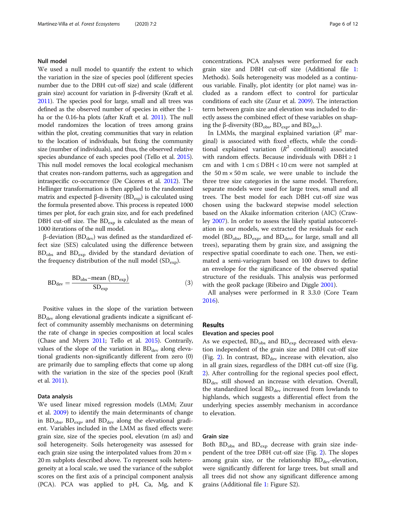# Null model

We used a null model to quantify the extent to which the variation in the size of species pool (different species number due to the DBH cut-off size) and scale (different grain size) account for variation in β-diversity (Kraft et al. [2011\)](#page-11-0). The species pool for large, small and all trees was defined as the observed number of species in either the 1 ha or the 0.16-ha plots (after Kraft et al. [2011](#page-11-0)). The null model randomizes the location of trees among grains within the plot, creating communities that vary in relation to the location of individuals, but fixing the community size (number of individuals), and thus, the observed relative species abundance of each species pool (Tello et al. [2015](#page-11-0)). This null model removes the local ecological mechanism that creates non-random patterns, such as aggregation and intraspecific co-occurrence (De Cáceres et al. [2012](#page-10-0)). The Hellinger transformation is then applied to the randomized matrix and expected β-diversity ( $BD_{exp}$ ) is calculated using the formula presented above. This process is repeated 1000 times per plot, for each grain size, and for each predefined DBH cut-off size. The  $BD_{exp}$  is calculated as the mean of 1000 iterations of the null model.

 $β$ -deviation (BD<sub>dev</sub>) was defined as the standardized effect size (SES) calculated using the difference between BD<sub>obs</sub> and BD<sub>exp</sub> divided by the standard deviation of the frequency distribution of the null model  $(SD_{\text{exp}})$ .

$$
BD_{\text{dev}} = \frac{BD_{\text{obs}} - \text{mean}(BD_{\text{exp}})}{SD_{\text{exp}}}
$$
(3)

Positive values in the slope of the variation between  $BD<sub>dev</sub>$  along elevational gradients indicate a significant effect of community assembly mechanisms on determining the rate of change in species composition at local scales (Chase and Myers [2011](#page-10-0); Tello et al. [2015](#page-11-0)). Contrarily, values of the slope of the variation in  $BD<sub>dev</sub>$  along elevational gradients non-significantly different from zero (0) are primarily due to sampling effects that come up along with the variation in the size of the species pool (Kraft et al. [2011](#page-11-0)).

# Data analysis

We used linear mixed regression models (LMM; Zuur et al. [2009](#page-11-0)) to identify the main determinants of change in  $BD<sub>obs</sub>$ ,  $BD<sub>exp</sub>$ , and  $BD<sub>dev</sub>$  along the elevational gradient. Variables included in the LMM as fixed effects were: grain size, size of the species pool, elevation (m asl) and soil heterogeneity. Soils heterogeneity was assessed for each grain size using the interpolated values from 20 m × 20 m subplots described above. To represent soils heterogeneity at a local scale, we used the variance of the subplot scores on the first axis of a principal component analysis (PCA). PCA was applied to pH, Ca, Mg, and K concentrations. PCA analyses were performed for each grain size and DBH cut-off size (Additional file [1](#page-10-0): Methods). Soils heterogeneity was modeled as a continuous variable. Finally, plot identity (or plot name) was included as a random effect to control for particular conditions of each site (Zuur et al. [2009\)](#page-11-0). The interaction term between grain size and elevation was included to directly assess the combined effect of these variables on shaping the β-diversity ( $BD<sub>obs</sub>$ ,  $BD<sub>exp</sub>$ , and  $BD<sub>dev</sub>$ ).

In LMMs, the marginal explained variation  $(R^2$  marginal) is associated with fixed effects, while the conditional explained variation  $(R^2 \text{ conditional})$  associated with random effects. Because individuals with  $DBH \geq 1$ cm and with  $1 \text{ cm} \leq \text{DBH} < 10 \text{ cm}$  were not sampled at the  $50 \text{ m} \times 50 \text{ m}$  scale, we were unable to include the three tree size categories in the same model. Therefore, separate models were used for large trees, small and all trees. The best model for each DBH cut-off size was chosen using the backward stepwise model selection based on the Akaike information criterion (AIC) (Crawley [2007\)](#page-10-0). In order to assess the likely spatial autocorrelation in our models, we extracted the residuals for each model (BD<sub>obs</sub>, BD<sub>exp</sub>, and BD<sub>dev</sub>, for large, small and all trees), separating them by grain size, and assigning the respective spatial coordinate to each one. Then, we estimated a semi-variogram based on 100 draws to define an envelope for the significance of the observed spatial structure of the residuals. This analysis was performed with the geoR package (Ribeiro and Diggle [2001](#page-11-0)).

All analyses were performed in R 3.3.0 (Core Team [2016](#page-10-0)).

### Results

# Elevation and species pool

As we expected,  $BD_{obs}$  and  $BD_{exp}$  decreased with elevation independent of the grain size and DBH cut-off size (Fig. [2](#page-6-0)). In contrast,  $BD_{dev}$  increase with elevation, also in all grain sizes, regardless of the DBH cut-off size (Fig. [2\)](#page-6-0). After controlling for the regional species pool effect,  $BD<sub>dev</sub>$  still showed an increase with elevation. Overall, the standardized local  $BD_{dev}$  increased from lowlands to highlands, which suggests a differential effect from the underlying species assembly mechanism in accordance to elevation.

### Grain size

Both  $BD_{obs}$  and  $BD_{exp}$  decrease with grain size independent of the tree DBH cut-off size (Fig. [2\)](#page-6-0). The slopes among grain size, or the relationship  $BD<sub>dev</sub>$ -elevation, were significantly different for large trees, but small and all trees did not show any significant difference among grains (Additional file [1:](#page-10-0) Figure S2).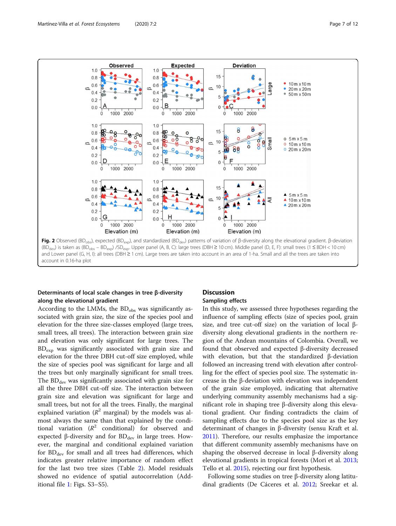<span id="page-6-0"></span>

# Determinants of local scale changes in tree β-diversity along the elevational gradient

According to the LMMs, the  $BD<sub>obs</sub>$  was significantly associated with grain size, the size of the species pool and elevation for the three size-classes employed (large trees, small trees, all trees). The interaction between grain size and elevation was only significant for large trees. The  $BD_{\text{exp}}$  was significantly associated with grain size and elevation for the three DBH cut-off size employed, while the size of species pool was significant for large and all the trees but only marginally significant for small trees. The  $BD_{dev}$  was significantly associated with grain size for all the three DBH cut-off size. The interaction between grain size and elevation was significant for large and small trees, but not for all the trees. Finally, the marginal explained variation ( $R^2$  marginal) by the models was almost always the same than that explained by the conditional variation  $(R^2$  conditional) for observed and expected β-diversity and for  $BD$ <sub>dev</sub> in large trees. However, the marginal and conditional explained variation for  $BD_{dev}$  for small and all trees had differences, which indicates greater relative importance of random effect for the last two tree sizes (Table [2\)](#page-7-0). Model residuals showed no evidence of spatial autocorrelation (Additional file [1:](#page-10-0) Figs. S3–S5).

# **Discussion**

# Sampling effects

In this study, we assessed three hypotheses regarding the influence of sampling effects (size of species pool, grain size, and tree cut-off size) on the variation of local βdiversity along elevational gradients in the northern region of the Andean mountains of Colombia. Overall, we found that observed and expected β-diversity decreased with elevation, but that the standardized β-deviation followed an increasing trend with elevation after controlling for the effect of species pool size. The systematic increase in the β-deviation with elevation was independent of the grain size employed, indicating that alternative underlying community assembly mechanisms had a significant role in shaping tree β-diversity along this elevational gradient. Our finding contradicts the claim of sampling effects due to the species pool size as the key determinant of changes in β-diversity (sensu Kraft et al. [2011](#page-11-0)). Therefore, our results emphasize the importance that different community assembly mechanisms have on shaping the observed decrease in local β-diversity along elevational gradients in tropical forests (Mori et al. [2013](#page-11-0); Tello et al. [2015\)](#page-11-0), rejecting our first hypothesis.

Following some studies on tree β-diversity along latitudinal gradients (De Cáceres et al. [2012;](#page-10-0) Sreekar et al.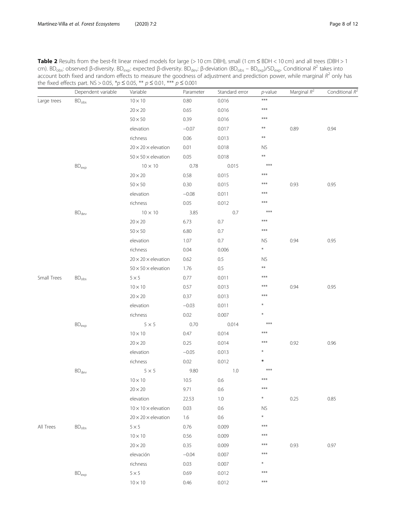<span id="page-7-0"></span>Table 2 Results from the best-fit linear mixed models for large (> 10 cm DBH), small (1 cm ≤ BDH < 10 cm) and all trees (DBH > 1 cm). BD<sub>obs</sub>: observed β-diversity. BD<sub>exp</sub>: expected β-diversity. BD<sub>dev</sub>: β-deviation (BD<sub>obs</sub> – BD<sub>exp</sub>)/SD<sub>exp</sub>. Conditional R<sup>2</sup> takes into account both fixed and random effects to measure the goodness of adjustment and prediction power, while marginal  $R^2$  only has the fixed effects part. NS > 0.05, \*p ≤ 0.05, \*\*  $p$  ≤ 0.01, \*\*\*  $p$  ≤ 0.001

|             | Dependent variable         | Variable                        | Parameter | Standard error | $p$ -value   | Marginal $R^2$ | Conditional R <sup>4</sup> |
|-------------|----------------------------|---------------------------------|-----------|----------------|--------------|----------------|----------------------------|
| Large trees | $\rm BD_{obs}$             | $10\times10$                    | 0.80      | 0.016          | $***$        |                |                            |
|             |                            | $20 \times 20$                  | 0.65      | 0.016          | $***$        |                |                            |
|             |                            | $50 \times 50$                  | 0.39      | 0.016          | $***$        |                |                            |
|             |                            | elevation                       | $-0.07$   | 0.017          | $***$        | 0.89           | 0.94                       |
|             |                            | richness                        | 0.06      | 0.013          | $\star\star$ |                |                            |
|             |                            | $20 \times 20 \times$ elevation | 0.01      | 0.018          | <b>NS</b>    |                |                            |
|             |                            | $50 \times 50 \times$ elevation | 0.05      | 0.018          | $**$         |                |                            |
|             | $BD_{exp}$                 | $10 \times 10$                  | 0.78      | 0.015          | $***$        |                |                            |
|             |                            | $20\times20$                    | 0.58      | 0.015          | $***$        |                |                            |
|             |                            | $50\times50$                    | 0.30      | 0.015          | ***          | 0.93           | 0.95                       |
|             |                            | elevation                       | $-0.08$   | 0.011          | $***$        |                |                            |
|             |                            | richness                        | 0.05      | 0.012          | ***          |                |                            |
|             | $\mathsf{BD}_\mathsf{dev}$ | $10 \times 10$                  | 3.85      | 0.7            | ***          |                |                            |
|             |                            | $20 \times 20$                  | 6.73      | 0.7            | $***$        |                |                            |
|             |                            | $50 \times 50$                  | 6.80      | 0.7            | ***          |                |                            |
|             |                            | elevation                       | 1.07      | 0.7            | <b>NS</b>    | 0.94           | 0.95                       |
|             |                            | richness                        | 0.04      | 0.006          | $\ast$       |                |                            |
|             |                            | $20 \times 20 \times$ elevation | 0.62      | 0.5            | <b>NS</b>    |                |                            |
|             |                            | $50 \times 50 \times$ elevation | 1.76      | $0.5\,$        | $**$         |                |                            |
| Small Trees | $\mathsf{BD}_{\text{obs}}$ | $5\times 5$                     | 0.77      | 0.011          | $***$        |                |                            |
|             |                            | $10\times10$                    | 0.57      | 0.013          | $***$        | 0.94           | 0.95                       |
|             |                            | $20 \times 20$                  | 0.37      | 0.013          | $***$        |                |                            |
|             |                            | elevation                       | $-0.03$   | 0.011          | $\ast$       |                |                            |
|             |                            | richness                        | 0.02      | 0.007          | $\ast$       |                |                            |
|             | $\mathsf{BD}_\mathsf{exp}$ | $5 \times 5$                    | 0.70      | 0.014          | $***$        |                |                            |
|             |                            | $10 \times 10$                  | 0.47      | 0.014          | $***$        |                |                            |
|             |                            | $20 \times 20$                  | 0.25      | 0.014          | ***          | 0.92           | 0.96                       |
|             |                            | elevation                       | $-0.05$   | 0.013          | $\star$      |                |                            |
|             |                            | richness                        | 0.02      | 0.012          | ∗            |                |                            |
|             | BD <sub>dev</sub>          | $5\times 5$                     | 9.80      | 1.0            | $***$        |                |                            |
|             |                            | $10\times10$                    | 10.5      | 0.6            | $***$        |                |                            |
|             |                            | $20\times20$                    | 9.71      | 0.6            | $***$        |                |                            |
|             |                            | elevation                       | 22.53     | $1.0\,$        | $\ast$       | 0.25           | 0.85                       |
|             |                            | $10 \times 10 \times$ elevation | 0.03      | 0.6            | <b>NS</b>    |                |                            |
|             |                            | $20 \times 20 \times$ elevation | 1.6       | 0.6            | $\ast$       |                |                            |
| All Trees   | BD <sub>obs</sub>          | $5\times 5$                     | 0.76      | 0.009          | $***$        |                |                            |
|             |                            | $10 \times 10$                  | 0.56      | 0.009          | $***$        |                |                            |
|             |                            | $20\times20$                    | 0.35      | 0.009          | $***$        | 0.93           | 0.97                       |
|             |                            | elevación                       | $-0.04$   | 0.007          | $***$        |                |                            |
|             |                            | richness                        | 0.03      | 0.007          | ×            |                |                            |
|             | $BD_{exp}$                 | $5\times 5$                     | 0.69      | 0.012          | $***$        |                |                            |
|             |                            | $10\times10$                    | 0.46      | 0.012          | $***$        |                |                            |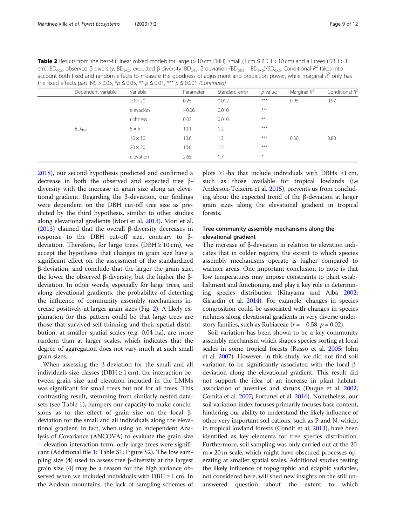Table 2 Results from the best-fit linear mixed models for large (> 10 cm DBH), small (1 cm ≤ BDH < 10 cm) and all trees (DBH > 1 cm). BD<sub>obs</sub>: observed β-diversity. BD<sub>exp</sub>: expected β-diversity. BD<sub>dev</sub>: β-deviation (BD<sub>obs</sub> – BD<sub>exp</sub>)/SD<sub>exp</sub>. Conditional R<sup>2</sup> takes into account both fixed and random effects to measure the goodness of adjustment and prediction power, while marginal  $R^2$  only has the fixed effects part. NS > 0.05, \*p  $\leq$  0.05, \*\*  $p \leq$  0.01, \*\*\*  $p \leq$  0.001 (Continued)

| Dependent variable | Variable       | Parameter | Standard error | <i>p</i> -value | Marginal $R^2$ | Conditional $R^2$ |
|--------------------|----------------|-----------|----------------|-----------------|----------------|-------------------|
|                    | $20 \times 20$ | 0.25      | 0.012          | $***$           | 0.95           | 0.97              |
|                    | elevación      | $-0.06$   | 0.010          | $***$           |                |                   |
|                    | richness       | 0.03      | 0.010          | $***$           |                |                   |
| BD <sub>dev</sub>  | $5 \times 5$   | 10.1      | 1.2            | $***$           |                |                   |
|                    | $10 \times 10$ | 10.6      | 1.2            | $***$           | 0.30           | 0.80              |
|                    | $20 \times 20$ | 10.0      | 1.2            | $***$           |                |                   |
|                    | elevation      | 2.65      | 1.7            | $\ast$          |                |                   |

[2018](#page-11-0)), our second hypothesis predicted and confirmed a decrease in both the observed and expected tree βdiversity with the increase in grain size along an elevational gradient. Regarding the β-deviation, our findings were dependent on the DBH cut-off tree size as predicted by the third hypothesis, similar to other studies along elevational gradients (Mori et al. [2013\)](#page-11-0). Mori et al. ([2013](#page-11-0)) claimed that the overall β-diversity decreases in response to the DBH cut-off size, contrary to βdeviation. Therefore, for large trees (DBH  $\geq 10$  cm), we accept the hypothesis that changes in grain size have a significant effect on the assessment of the standardized β-deviation, and conclude that the larger the grain size, the lower the observed β-diversity, but the higher the βdeviation. In other words, especially for large trees, and along elevational gradients, the probability of detecting the influence of community assembly mechanisms increase positively at larger grain sizes (Fig. [2\)](#page-6-0). A likely explanation for this pattern could be that large trees are those that survived self-thinning and their spatial distribution, at smaller spatial scales (e.g. 0.04-ha), are more random than at larger scales, which indicates that the degree of aggregation does not vary much at such small grain sizes.

When assessing the β-deviation for the small and all individuals size classes (DBH  $\geq$  1 cm), the interaction between grain size and elevation included in the LMMs was significant for small trees but not for all trees. This contrasting result, stemming from similarly nested datasets (see Table [1](#page-4-0)), hampers our capacity to make conclusions as to the effect of grain size on the local βdeviation for the small and all individuals along the elevational gradient. In fact, when using an independent Analysis of Covariance (ANCOVA) to evaluate the grain size – elevation interaction term, only large trees were significant (Additional file [1](#page-10-0): Table S1; Figure S2). The low sampling size (4) used to assess tree β-diversity at the largest grain size (4) may be a reason for the high variance observed when we included individuals with  $DBH \geq 1$  cm. In the Andean mountains, the lack of sampling schemes of

plots ≥1-ha that include individuals with DBHs ≥1 cm, such as those available for tropical lowlands (i.e Anderson-Teixeira et al. [2015](#page-10-0)), prevents us from concluding about the expected trend of the β-deviation at larger grain sizes along the elevational gradient in tropical forests.

# Tree community assembly mechanisms along the elevational gradient

The increase of β-deviation in relation to elevation indicates that in colder regions, the extent to which species assembly mechanisms operate is higher compared to warmer areas. One important conclusion to note is that low temperatures may impose constraints to plant establishment and functioning, and play a key role in determining species distribution (Kitayama and Aiba [2002](#page-11-0); Girardin et al. [2014](#page-11-0)). For example, changes in species composition could be associated with changes in species richness along elevational gradients in very diverse understory families, such as Rubiaceae ( $r = -0.58$ ,  $p = 0.02$ ).

Soil variation has been shown to be a key community assembly mechanism which shapes species sorting at local scales in some tropical forests (Russo et al. [2005](#page-11-0); John et al. [2007](#page-11-0)). However, in this study, we did not find soil variation to be significantly associated with the local βdeviation along the elevational gradient. This result did not support the idea of an increase in plant habitatassociation of juveniles and shrubs (Duque et al. [2002](#page-11-0); Comita et al. [2007;](#page-10-0) Fortunel et al. [2016\)](#page-11-0). Nonetheless, our soil variation index focuses primarily focuses base content, hindering our ability to understand the likely influence of other very important soil cations, such as P and N, which, in tropical lowland forests (Condit et al. [2013\)](#page-10-0), have been identified as key elements for tree species distribution. Furthermore, soil sampling was only carried out at the 20  $m \times 20$  m scale, which might have obscured processes operating at smaller spatial scales. Additional studies testing the likely influence of topographic and edaphic variables, not considered here, will shed new insights on the still unanswered question about the extent to which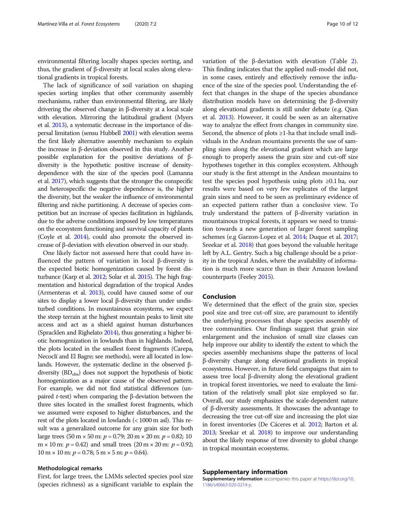environmental filtering locally shapes species sorting, and thus, the gradient of β-diversity at local scales along elevational gradients in tropical forests.

The lack of significance of soil variation on shaping species sorting implies that other community assembly mechanisms, rather than environmental filtering, are likely drivering the observed change in β-diversity at a local scale with elevation. Mirroring the latitudinal gradient (Myers et al. [2013](#page-11-0)), a systematic decrease in the importance of dispersal limitation (sensu Hubbell [2001](#page-11-0)) with elevation seems the first likely alternative assembly mechanism to explain the increase in β-deviation observed in this study. Another possible explanation for the positive deviations of βdiversity is the hypothetic positive increase of densitydependence with the size of the species pool (Lamanna et al. [2017](#page-11-0)), which suggests that the stronger the conspecific and heterospecific the negative dependence is, the higher the diversity, but the weaker the influence of environmental filtering and niche partitioning. A decrease of species competition but an increase of species facilitation in highlands, due to the adverse conditions imposed by low temperatures on the ecosystem functioning and survival capacity of plants (Coyle et al. [2014\)](#page-10-0), could also promote the observed increase of β-deviation with elevation observed in our study.

One likely factor not assessed here that could have influenced the pattern of variation in local β-diversity is the expected biotic homogenization caused by forest disturbance (Karp et al. [2012;](#page-11-0) Solar et al. [2015](#page-11-0)). The high fragmentation and historical degradation of the tropical Andes (Armenteras et al. [2013\)](#page-10-0), could have caused some of our sites to display a lower local β-diversity than under undisturbed conditions. In mountainous ecosystems, we expect the steep terrain at the highest mountain peaks to limit site access and act as a shield against human disturbances (Spracklen and Righelato [2014](#page-11-0)), thus generating a higher biotic homogenization in lowlands than in highlands. Indeed, the plots located in the smallest forest fragments (Carepa, Necoclí and El Bagre; see methods), were all located in lowlands. However, the systematic decline in the observed βdiversity (BD<sub>obs</sub>) does not support the hypothesis of biotic homogenization as a major cause of the observed pattern. For example, we did not find statistical differences (unpaired *t*-test) when comparing the β-deviation between the three sites located in the smallest forest fragments, which we assumed were exposed to higher disturbances, and the rest of the plots located in lowlands (< 1000 m asl). This result was a generalized outcome for any grain size for both large trees  $(50 \text{ m} \times 50 \text{ m}; p = 0.79; 20 \text{ m} \times 20 \text{ m}; p = 0.82; 10)$  $m \times 10$  m:  $p = 0.42$ ) and small trees (20 m  $\times$  20 m:  $p = 0.92$ ;  $10 \text{ m} \times 10 \text{ m}$ :  $p = 0.78$ ;  $5 \text{ m} \times 5 \text{ m}$ :  $p = 0.64$ ).

### Methodological remarks

First, for large trees, the LMMs selected species pool size (species richness) as a significant variable to explain the variation of the β-deviation with elevation (Table [2](#page-7-0)). This finding indicates that the applied null-model did not, in some cases, entirely and effectively remove the influence of the size of the species pool. Understanding the effect that changes in the shape of the species abundance distribution models have on determining the β-diversity along elevational gradients is still under debate (e.g. Qian et al. [2013](#page-11-0)). However, it could be seen as an alternative way to analyze the effect from changes in community size. Second, the absence of plots ≥1-ha that include small individuals in the Andean mountains prevents the use of sampling sizes along the elevational gradient which are large enough to properly assess the grain size and cut-off size hypotheses together in this complex ecosystem. Although our study is the first attempt in the Andean mountains to test the species pool hypothesis using plots ≥0.1 ha, our results were based on very few replicates of the largest grain sizes and need to be seen as preliminary evidence of an expected pattern rather than a conclusive view. To truly understand the pattern of β-diversity variation in mountainous tropical forests, it appears we need to transition towards a new generation of larger forest sampling schemes (e.g Garzon-Lopez et al. [2014](#page-11-0); Duque et al. [2017](#page-10-0); Sreekar et al. [2018\)](#page-11-0) that goes beyond the valuable heritage left by A.L. Gentry. Such a big challenge should be a priority in the tropical Andes, where the availability of information is much more scarce than in their Amazon lowland counterparts (Feeley [2015\)](#page-11-0).

# Conclusion

We determined that the effect of the grain size, species pool size and tree cut-off size, are paramount to identify the underlying processes that shape species assembly of tree communities. Our findings suggest that grain size enlargement and the inclusion of small size classes can help improve our ability to identify the extent to which the species assembly mechanisms shape the patterns of local β-diversity change along elevational gradients in tropical ecosystems. However, in future field campaigns that aim to assess tree local β-diversity along the elevational gradient in tropical forest inventories, we need to evaluate the limitation of the relatively small plot size employed so far. Overall, our study emphasizes the scale-dependent nature of β-diversity assessments. It showcases the advantage to decreasing the tree cut-off size and increasing the plot size in forest inventories (De Cáceres et al. [2012;](#page-10-0) Barton et al. [2013;](#page-10-0) Sreekar et al. [2018](#page-11-0)) to improve our understanding about the likely response of tree diversity to global change in tropical mountain ecosystems.

#### Supplementary information

Supplementary information accompanies this paper at [https://doi.org/10.](https://doi.org/10.1186/s40663-020-0214-y) [1186/s40663-020-0214-y](https://doi.org/10.1186/s40663-020-0214-y).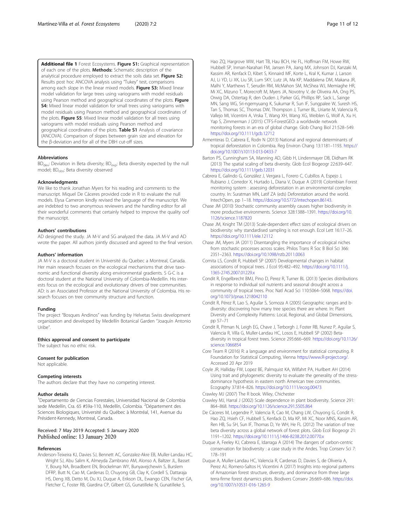<span id="page-10-0"></span>Additional file 1 Forest Ecosystems. Figure S1: Graphical representation of each one of the plots. Methods: Schematic description of the analytical procedure employed to extract the soils data set. Figure S2: Results post hoc ANCOVA analysis using "Tukey" test, comparisons among each slope in the linear mixed models. Figure S3: Mixed linear model validation for large trees using variograms with model residuals using Pearson method and geographical coordinates of the plots. Figure **S4:** Mixed linear model validation for small trees using variograms with model residuals using Pearson method and geographical coordinates of the plots. Figure S5: Mixed linear model validation for all trees using variograms with model residuals using Pearson method and geographical coordinates of the plots. Table S1 Analysis of covariance (ANCOVA). Comparison of slopes between grain size and elevation for the β-deviation and for all of the DBH cut-off sizes.

#### Abbreviations

BD<sub>dev</sub>: Deviation in Beta diversity; BD<sub>exp</sub>: Beta diversity expected by the null model; BD<sub>obs</sub>: Beta diversity observed

#### Acknowledgments

We like to thank Jonathan Myers for his reading and comments to the manuscript. Miquel De Cáceres provided code in R to evaluate the null models. Elysa Cameron kindly revised the language of the manuscript. We are indebted to two anonymous reviewers and the handling editor for all their wonderful comments that certainly helped to improve the quality oof the manuscript.

#### Authors' contributions

AD designed the study. JA M-V and SG analyzed the data. JA M-V and AD wrote the paper. All authors jointly discussed and agreed to the final version.

#### Authors' information

JA M-V is a doctoral student in Université du Quebec a Montreal, Canada. Her main research focuses on the ecological mechanisms that drive taxonomic and functional diversity along environmental gradients. S G-C is a doctoral student at the National University of Colombia-Medellín. His interests focus on the ecological and evolutionary drivers of tree communities. AD: is an Associated Professor at the National University of Colombia. His research focuses on tree community structure and function.

#### Funding

The project "Bosques Andinos" was funding by Helvetas Swiss development organization and developed by Medellín Botanical Garden "Joaquín Antonio Uribe".

# Ethics approval and consent to participate

The subject has no ethic risk.

#### Consent for publication

Not applicable.

#### Competing interests

The authors declare that they have no competing interest.

#### Author details

<sup>1</sup>Departamento de Ciencias Forestales, Universidad Nacional de Colombia sede Medellín, Cra. 65 #59a-110, Medellín, Colombia. <sup>2</sup>Département des Sciences Biologiques, Université du Québec à Montréal, 141, Avenue du Président-Kennedy, Montreal, Canada.

# Received: 7 May 2019 Accepted: 5 January 2020 Published online: 13 January 2020

# References

Anderson-Teixeira KJ, Davies SJ, Bennett AC, Gonzalez-Akre EB, Muller-Landau HC, Wright SJ, Abu Salim K, Almeyda Zambrano AM, Alonso A, Baltzer JL, Basset Y, Bourg NA, Broadbent EN, Brockelman WY, Bunyavejchewin S, Burslem DFRP, Butt N, Cao M, Cardenas D, Chuyong GB, Clay K, Cordell S, Dattaraja HS, Deng XB, Detto M, Du XJ, Duque A, Erikson DL, Ewango CEN, Fischer GA, Fletcher C, Foster RB, Giardina CP, Gilbert GS, Gunatilleke N, Gunatilleke S,

Hao ZQ, Hargrove WW, Hart TB, Hau BCH, He FL, Hoffman FM, Howe RW, Hubbell SP, Inman-Narahari FM, Jansen PA, Jiang MX, Johnson DJ, Kanzaki M, Kassim AR, Kenfack D, Kibet S, Kinnaird MF, Korte L, Kral K, Kumar J, Larson AJ, Li YD, Li XK, Liu SR, Lum SKY, Lutz JA, Ma KP, Maddalena DM, Makana JR, Malhi Y, Marthews T, Serudin RM, McMahon SM, McShea WJ, Memiaghe HR, Mi XC, Mizuno T, Morecroft M, Myers JA, Novotny V, de Oliveira AA, Ong PS, Orwig DA, Ostertag R, den Ouden J, Parker GG, Phillips RP, Sack L, Sainge MN, Sang WG, Sri-ngernyuang K, Sukumar R, Sun IF, Sungpalee W, Suresh HS, Tan S, Thomas SC, Thomas DW, Thompson J, Turner BL, Uriarte M, Valencia R, Vallejo MI, Vicentini A, Vrska T, Wang XH, Wang XG, Weiblen G, Wolf A, Xu H, Yap S, Zimmerman J (2015) CTFS-ForestGEO: a worldwide network monitoring forests in an era of global change. Glob Chang Biol 21:528–549. <https://doi.org/10.1111/gcb.12712>

- Armenteras D, Cabrera E, Rodrı N (2013) National and regional determinants of tropical deforestation in Colombia. Reg Environ Chang 13:1181–1193. [https://](https://doi.org/10.1007/s10113-013-0433-7) [doi.org/10.1007/s10113-013-0433-7](https://doi.org/10.1007/s10113-013-0433-7)
- Barton PS, Cunningham SA, Manning AD, Gibb H, Lindenmayer DB, Didham RK (2013) The spatial scaling of beta diversity. Glob Ecol Biogeogr 22:639–647. <https://doi.org/10.1111/geb.12031>
- Cabrera E, Galindo G, González J, Vergara L, Forero C, Cubillos A, Espejo J, Rubiano J, Corredor X, Hurtado L, Diana V, Duque A (2019) Colombian Forest monitoring system : assessing deforestation in an environmental complex country. In: Suratman MN, Latif ZA (eds) Deforestation around the world. IntechOpen, pp 1–18. [https://doi.org/10.5772/intechopen.86143.](https://doi.org/10.5772/intechopen.86143)

Chase JM (2010) Stochastic community assembly causes higher biodiversity in more productive environments. Science 328:1388–1391. [https://doi.org/10.](https://doi.org/10.1126/science.1187820) [1126/science.1187820](https://doi.org/10.1126/science.1187820)

Chase JM, Knight TM (2013) Scale-dependent effect sizes of ecological drivers on biodiversity: why standardised sampling is not enough. Ecol Lett 16:17–26. <https://doi.org/10.1111/ele.12112>

- Chase JM, Myers JA (2011) Disentangling the importance of ecological niches from stochastic processes across scales. Philos Trans R Soc B Biol Sci 366: 2351–2363. <https://doi.org/10.1098/rstb.2011.0063>
- Comita LS, Condit R, Hubbell SP (2007) Developmental changes in habitat associations of tropical trees. J Ecol 95:482–492. [https://doi.org/10.1111/j.](https://doi.org/10.1111/j.1365-2745.2007.01229.x) [1365-2745.2007.01229.x](https://doi.org/10.1111/j.1365-2745.2007.01229.x)
- Condit R, Engelbrecht BMJ, Pino D, Perez R, Turner BL (2013) Species distributions in response to individual soil nutrients and seasonal drought across a community of tropical trees. Proc Natl Acad Sci 110:5064–5068. [https://doi.](https://doi.org/10.1073/pnas.1218042110) [org/10.1073/pnas.1218042110](https://doi.org/10.1073/pnas.1218042110)

Condit R, Pérez R, Lao S, Aguilar S, Somoza A (2005) Geographic ranges and bdiversity: discovering how many tree species there are where. In: Plant Diversity and Complexity Patterns: Local, Regional, and Global Dimensions, pp 57–71

- Condit R, Pitman N, Leigh EG, Chave J, Terborgh J, Foster RB, Nunez P, Aguilar S, Valencia R, Villa G, Muller-Landau HC, Losos E, Hubbell SP (2002) Betadiversity in tropical forest trees. Science 295:666–669. [https://doi.org/10.1126/](https://doi.org/10.1126/science.1066854) [science.1066854](https://doi.org/10.1126/science.1066854)
- Core Team R (2016) R: a language and environment for statistical computing. R Foundation for Statistical Computing, Vienna [https://www.R-project.org/](https://www.r-project.org/). Accessed 20 Apr 2019
- Coyle JR, Halliday FW, Lopez BE, Palmquist KA, Wilfahrt PA, Hurlbert AH (2014) Using trait and phylogenetic diversity to evaluate the generality of the stressdominance hypothesis in eastern north American tree communities. Ecography 37:814–826. <https://doi.org/10.1111/ecog.00473>
- Crawley MJ (2007) The R book. Wiley, Chichester
- Crawley MJ, Harral J (2002) Scale dependence in plant biodiversity. Science 291: 864–868. <https://doi.org/10.1126/science.291.5505.864>
- De Cáceres M, Legendre P, Valencia R, Cao M, Chang LW, Chuyong G, Condit R, Hao ZQ, Hsieh CF, Hubbell S, Kenfack D, Ma KP, Mi XC, Noor MNS, Kassim AR, Ren HB, Su SH, Sun IF, Thomas D, Ye WH, He FL (2012) The variation of tree beta diversity across a global network of forest plots. Glob Ecol Biogeogr 21: 1191–1202. <https://doi.org/10.1111/j.1466-8238.2012.00770.x>
- Duque A, Feeley KJ, Cabrera E, Idarraga A (2014) The dangers of carbon-centric conservation for biodiversity : a case study in the Andes. Trop Conserv Sci 7: 178–191
- Duque A, Muller-Landau HC, Valencia R, Cardenas D, Davies S, de Oliveria A, Perez AJ, Romero-Saltos H, Vicentini A (2017) Insights into regional patterns of Amazonian forest structure, diversity, and dominance from three large terra-firme forest dynamics plots. Biodivers Conserv 26:669–686. [https://doi.](https://doi.org/10.1007/s10531-016-1265-9) [org/10.1007/s10531-016-1265-9](https://doi.org/10.1007/s10531-016-1265-9)